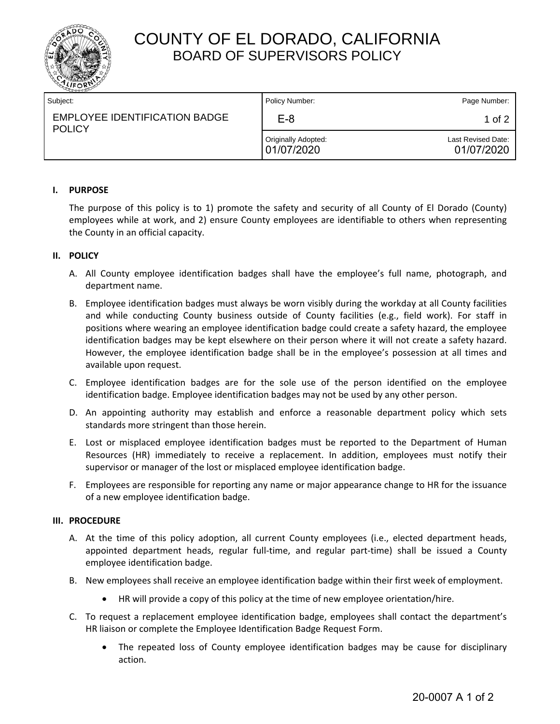

# COUNTY OF EL DORADO, CALIFORNIA BOARD OF SUPERVISORS POLICY

| Subject:                                              | Policy Number:                    | Page Number:                     |
|-------------------------------------------------------|-----------------------------------|----------------------------------|
| <b>EMPLOYEE IDENTIFICATION BADGE</b><br><b>POLICY</b> | E-8                               | 1 of 2                           |
|                                                       | Originally Adopted:<br>01/07/2020 | Last Revised Date:<br>01/07/2020 |

### **I. PURPOSE**

The purpose of this policy is to 1) promote the safety and security of all County of El Dorado (County) employees while at work, and 2) ensure County employees are identifiable to others when representing the County in an official capacity.

### **II. POLICY**

- A. All County employee identification badges shall have the employee's full name, photograph, and department name.
- B. Employee identification badges must always be worn visibly during the workday at all County facilities and while conducting County business outside of County facilities (e.g., field work). For staff in positions where wearing an employee identification badge could create a safety hazard, the employee identification badges may be kept elsewhere on their person where it will not create a safety hazard. However, the employee identification badge shall be in the employee's possession at all times and available upon request.
- C. Employee identification badges are for the sole use of the person identified on the employee identification badge. Employee identification badges may not be used by any other person.
- D. An appointing authority may establish and enforce a reasonable department policy which sets standards more stringent than those herein.
- E. Lost or misplaced employee identification badges must be reported to the Department of Human Resources (HR) immediately to receive a replacement. In addition, employees must notify their supervisor or manager of the lost or misplaced employee identification badge.
- F. Employees are responsible for reporting any name or major appearance change to HR for the issuance of a new employee identification badge.

### **III. PROCEDURE**

- A. At the time of this policy adoption, all current County employees (i.e., elected department heads, appointed department heads, regular full-time, and regular part-time) shall be issued a County employee identification badge.
- B. New employees shall receive an employee identification badge within their first week of employment.
	- HR will provide a copy of this policy at the time of new employee orientation/hire.
- C. To request a replacement employee identification badge, employees shall contact the department's HR liaison or complete the Employee Identification Badge Request Form.
	- The repeated loss of County employee identification badges may be cause for disciplinary action.